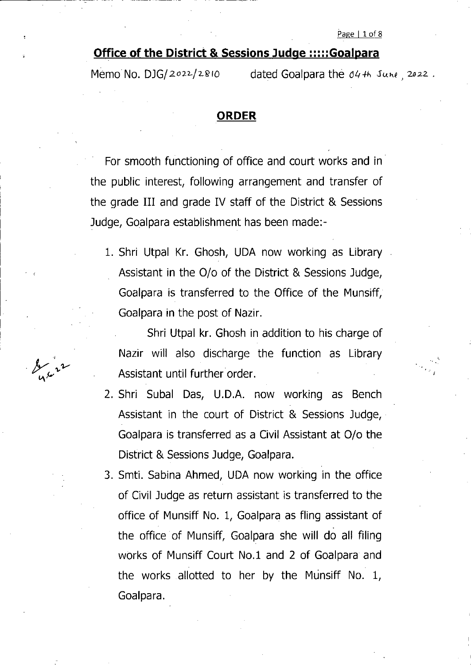## **Office of the District & Sessions Judge :::::Goalpara**

**V'**

Memo No. DJG/2022/2810 dated Goalpara the 04th June, 2022.

### **ORDER**

For smooth functioning of office and court works and in the public interest, following arrangement and transfer of the grade III and grade IV staff of the District & Sessions Judge, Goalpara establishment has been made:-

1. Shri Utpal Kr. Ghosh, UDA now working as Library Assistant in the O/o of the District & Sessions Judge, Goalpara is transferred to the Office of the Munsiff, Goalpara in the post of Nazir.

Shri Utpal kr. Ghosh in addition to his charge of Nazir will also discharge the function as Library Assistant until further order.

- 2. Shri Subal Das, U.D.A. now working as Bench Assistant in the court of District & Sessions Judge, Goalpara is transferred as a Civil Assistant at O/o the District & Sessions Judge, Goalpara.
- 3. Smti. Sabina Ahmed, UDA now working in the office of Civil Judge as return assistant is transferred to the office of Munsiff No. 1, Goalpara as fling assistant of the office of Munsiff, Goalpara she will do all filing works of Munsiff Court No.l and 2 of Goalpara and the works allotted to her by the Munsiff No. 1, Goalpara.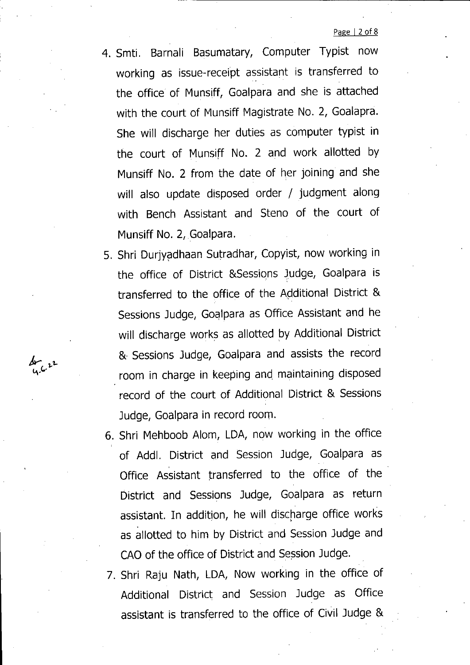#### Page | 2 of 8

- 4. Smti. Barnali Basumatary, Computer Typist now working as issue-receipt assistant is transferred to the office of Munsjff, Goalpara and she is attached with the court of Munsiff Magistrate No. 2, Goalapra. She will discharge her duties as computer typist in the court of Munsiff No. 2 and work allotted by Munsiff No. 2 from the date of her joining and she will also update disposed order / judgment along with Bench Assistant and Steno of the court of Munsiff No. 2, Goalpara.
- 5. Shri Durjyadhaan Sutradhar, Copyist, now working in the office of District &Sessipns Judge, Goalpara is transferred to the office of the Additional District & Sessions Judge, Goalpara as Office Assistant and he will discharge works as allotted by Additional District & Sessions Judge, Goalpara and assists the record room in charge in keeping and maintaining disposed record of the court of Additional District & Sessions Judge, Goalpara in record room.

 $\frac{dr}{u\cdot r^2}$ 

- 6. Shri Mehboob Alom, LDA, now working in the office ( of Addl. District and Session Judge, Goalpara as Office Assistant transferred to the office of the District and Sessions Judge, Goalpara as return assistant. In addition, he will discharge office works as allotted to him by District and Session Judge and CAO of the office of District and Session Judge.
- 7. Shri Raju Nath, LDA, Now working in the office of Additional District and Session Judge as Office assistant is transferred to the office of Civil Judge &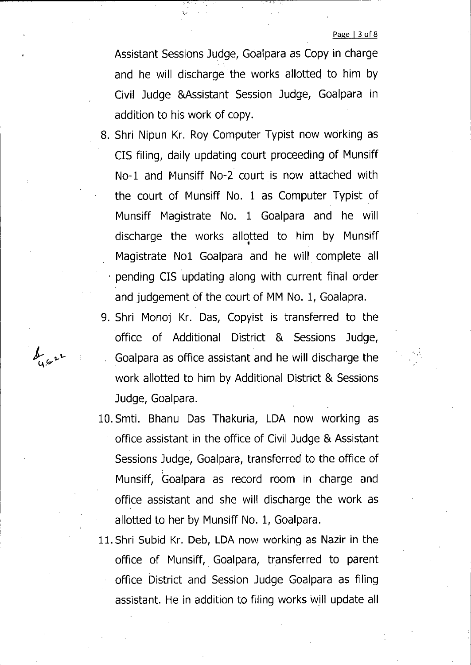Page | 3 of 8

Assistant Sessions Judge, Goalpara as Copy in charge and he will discharge the works allotted to him by Civil Judge &Assistant Session Judge, Goalpara in addition to his work of copy.

- 8. Shri Nipun Kr. Roy Computer Typist now working as CIS filing, daily updating court proceeding of Munsiff No-1 and Munsiff No-2 court is now attached with the court of Munsiff No. <sup>1</sup> as Computer Typist of Munsiff Magistrate No. <sup>1</sup> Goalpara and he will discharge the works allotted to him by Munsiff Magistrate Nol Goalpara and he will complete all pending CIS updating along with current final order and judgement of the court of MM No. 1, Goalapra.
- 9. Shri Monoj Kr. Das, Copyist is transferred to the office of Additional District & Sessions Judge, Goalpara as office assistant and he will discharge the work allotted to him by Additional District & Sessions Judge, Goalpara.

 $\oint_{\alpha} 6x^2$ 

- lO.Smti. Bhanu Das Thakuria, LDA now working as office assistant in the office of Civil Judge & Assistant Sessions Judge, Goalpara, transferred to the office of Munsiff, Goalpara as record room in charge and office assistant and she will discharge the work as allotted to her by Munsiff No. 1, Goalpara.
- 11. Shri Subid Kr. Deb, LDA now working as Nazir in the office of Munsiff, Goalpara, transferred to parent office District and Session Judge Goalpara as filing assistant. He in addition to filing works will update all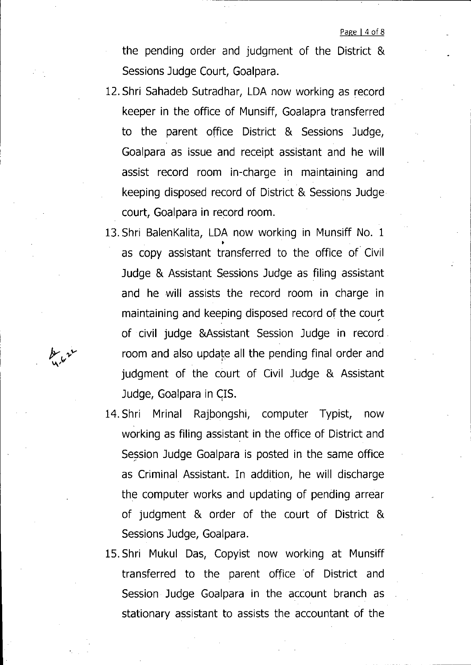the pending order and judgment of the District & Sessions Judge Court, Goalpara.

- IZ.Shri Sahadeb Sutradhar, LDA now working as record keeper in the office of Munsiff, Goalapra transferred to the parent office District & Sessions Judge, Goalpara as issue and receipt assistant and he will assist record room in-charge in maintaining and keeping disposed record of District & Sessions Judge court, Goalpara in record room.
- 13. Shri BalenKalita, LDA now working in Munsiff No. 1 » as copy assistant transferred to the office of Civil Judge & Assistant Sessions Judge as filing assistant and he will assists the record room in charge in maintaining and keeping disposed record of the court of civil judge &Assistant Session Judge in record room and also update all the pending final order and judgment of the court of Civil Judge & Assistant Judge, Goalpara in CIS.

**>vv**

- 14. Shri Mrinal Rajbongshi, computer Typist, now working as filing assistant in the office of District and Session Judge Goalpara is posted in the same office as Criminal Assistant. In addition, he will discharge the computer works and updating of pending arrear of judgment & order of the court of District & Sessions Judge, Goalpara.
- 15. Shri Mukul Das, Copyist now working at Munsiff transferred to the parent office of District and Session Judge Goalpara in the account branch as stationary assistant to assists the accountant of the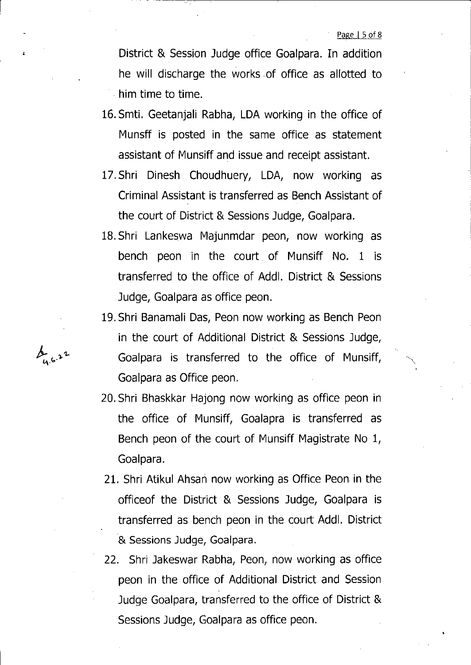Page | 5 of 8

 $\overline{\phantom{0}}$ 

District & Session Judge office Goalpara. In addition he will discharge the works of office as allotted to him time to time.

- 16.Smti. Geetanjali Rabha, LDA working in the office of Munsff is posted in the same office as statement assistant of Munsiff and issue and receipt assistant.
- 17.Shri Dinesh Choudhuery, LDA, now working as Criminal Assistant is transferred as Bench Assistant of the court of District & Sessions Judge, Goalpara.
- IS.Shri Lankeswa Majunmdar peon, now working as bench peon in the court of Munsiff No. <sup>1</sup> is transferred to the office of Addl. District & Sessions Judge, Goalpara as office peon.
- 19. Shri Banamali Das, Peon now working as Bench Peon in the court of Additional District & Sessions Judge, Goalpara is transferred to the office of Munsiff, Goalpara as Office peon.
- 20. Shri Bhaskkar Hajong now working as office peon in the office of Munsiff, Goalapra is transferred as Bench peon of the court of Munsiff Magistrate No 1, Goalpara.
- 21. Shri Atikul Ahsan now working as Office Peon in the officeof the District & Sessions Judge, Goalpara is transferred as bench peon in the court Addl. District & Sessions Judge, Goalpara.
- 22. Shri Jakeswar Rabha, Peon, now working as office peon in the office of Additional District and Session Judge Goalpara, transferred to the office of District & Sessions Judge, Goalpara as office peon.

*k- .-S'*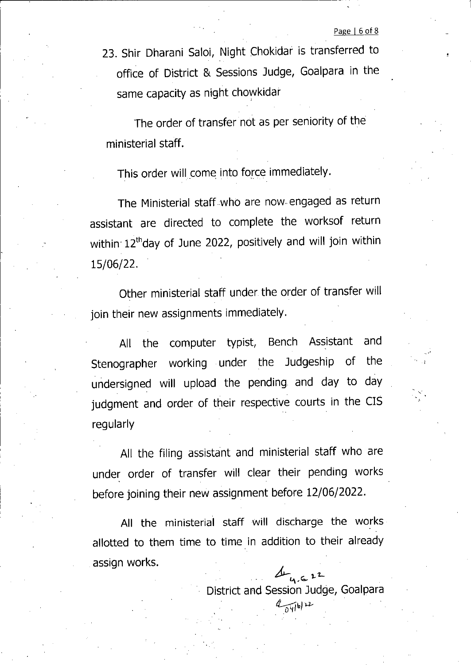23. Shir Dharani Saloi, Night Chokidar is transferred to office of District & Sessions Judge, Goalpara in the same capacity as night chowkidar

The order of transfer not as per seniority of the ministerial staff.

This order will come into force immediately.

The Ministerial staff who are now. engaged as return assistant are directed to complete the worksof return within 12<sup>th</sup>day of June 2022, positively and will join within 15/06/22.

Other ministerial staff under the order of transfer will join their new assignments immediately.

All the computer typist, Bench Assistant and Stenographer working under the Judgeship of the undersigned will upload the pending and day to day judgment and order of their respective courts in the CIS regularly

All the filing assistant and ministerial staff who are under order of transfer will clear their pending works before joining their new assignment before 12/06/2022.

All the ministerial staff will discharge the works allotted to them time to time in addition to their already assign works.<br>*A<sub>-4</sub>* & <sup>22</sup>

District and Session Judge, Goalpara

*U'*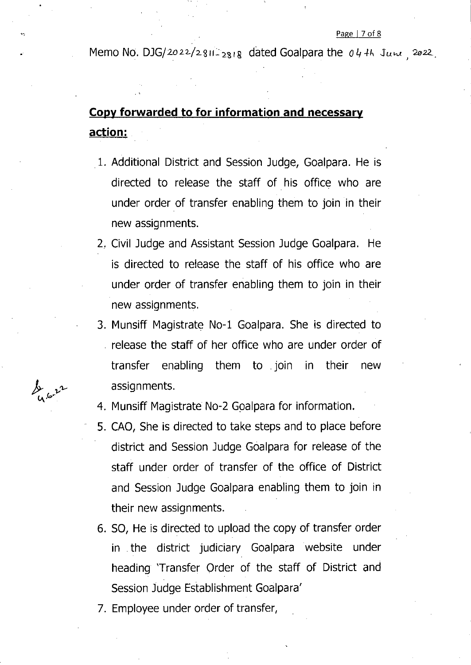#### Page | 7 of 8

Memo No. DJG/2022/2811-2818 dated Goalpara the *04<sup>+h</sup>* Jum 2022.

# **Copy forwarded to for information and necessary action:**

- 1. Additional District and Session Judge, Goalpara. He is directed to release the staff of his office who are under order of transfer enabling them to join in their new assignments.
- 2. Civil Judge and Assistant Session Judge Goalpara. He is directed to release the staff of his office who are under order of transfer enabling them to join in their new assignments.
- 3. Munsiff Magistrate No-1 Goalpara. She is directed to release the staff of her office who are under order of transfer enabling them to join in their new assignments.
- 4. Munsiff Magistrate No-2 Goalpara for information.
- 5. CAO, She is directed to take steps and to place before district and Session Judge Goalpara for release of the staff under order of transfer of the office of District and Session Judge Goalpara enabling them to join in their new assignments.
- 6. SO, He is directed to upload the copy of transfer order in the district judiciary Goalpara website under heading Transfer Order of the staff of District and Session Judge Establishment Goalpara'
- 7. Employee under order of transfer,

 $\frac{1}{4}$  for  $\frac{1}{4}$